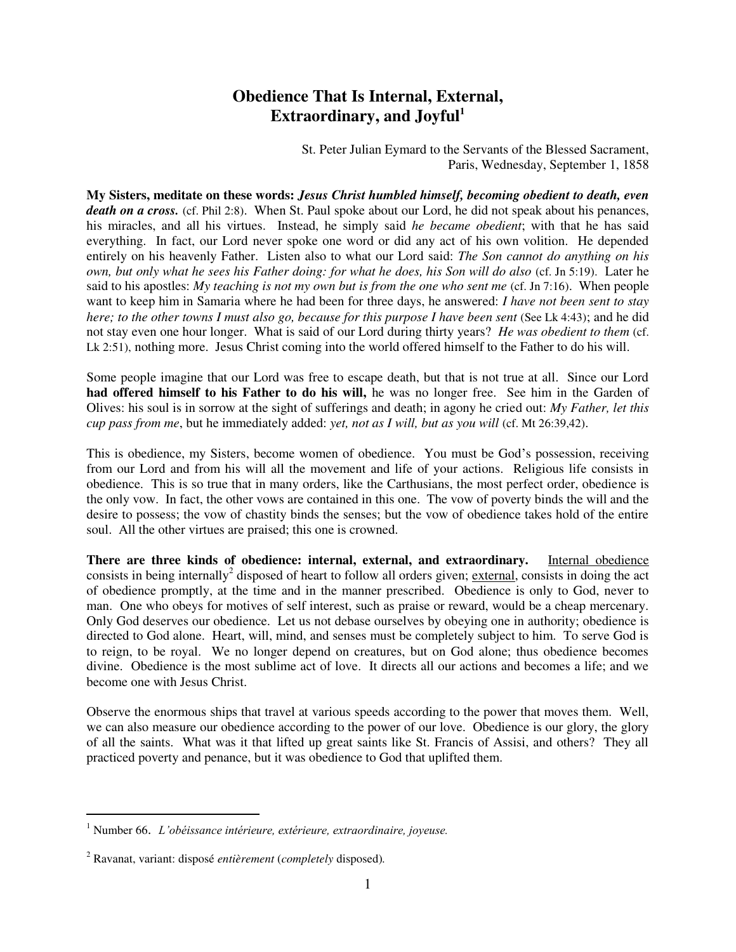## **Obedience That Is Internal, External, Extraordinary, and Joyful<sup>1</sup>**

St. Peter Julian Eymard to the Servants of the Blessed Sacrament, Paris, Wednesday, September 1, 1858

**My Sisters, meditate on these words:** *Jesus Christ humbled himself, becoming obedient to death, even*  death on a cross. (cf. Phil 2:8). When St. Paul spoke about our Lord, he did not speak about his penances, his miracles, and all his virtues. Instead, he simply said *he became obedient*; with that he has said everything. In fact, our Lord never spoke one word or did any act of his own volition. He depended entirely on his heavenly Father. Listen also to what our Lord said: *The Son cannot do anything on his own, but only what he sees his Father doing: for what he does, his Son will do also* (cf. Jn 5:19). Later he said to his apostles: *My teaching is not my own but is from the one who sent me* (cf. Jn 7:16). When people want to keep him in Samaria where he had been for three days, he answered: *I have not been sent to stay here; to the other towns I must also go, because for this purpose I have been sent (See Lk 4:43); and he did* not stay even one hour longer. What is said of our Lord during thirty years? *He was obedient to them* (cf. Lk 2:51), nothing more. Jesus Christ coming into the world offered himself to the Father to do his will.

Some people imagine that our Lord was free to escape death, but that is not true at all. Since our Lord **had offered himself to his Father to do his will,** he was no longer free. See him in the Garden of Olives: his soul is in sorrow at the sight of sufferings and death; in agony he cried out: *My Father, let this cup pass from me*, but he immediately added: *yet, not as I will, but as you will* (cf. Mt 26:39,42).

This is obedience, my Sisters, become women of obedience. You must be God's possession, receiving from our Lord and from his will all the movement and life of your actions. Religious life consists in obedience. This is so true that in many orders, like the Carthusians, the most perfect order, obedience is the only vow. In fact, the other vows are contained in this one. The vow of poverty binds the will and the desire to possess; the vow of chastity binds the senses; but the vow of obedience takes hold of the entire soul. All the other virtues are praised; this one is crowned.

**There are three kinds of obedience: internal, external, and extraordinary.** Internal obedience consists in being internally<sup>2</sup> disposed of heart to follow all orders given; external, consists in doing the act of obedience promptly, at the time and in the manner prescribed. Obedience is only to God, never to man. One who obeys for motives of self interest, such as praise or reward, would be a cheap mercenary. Only God deserves our obedience. Let us not debase ourselves by obeying one in authority; obedience is directed to God alone. Heart, will, mind, and senses must be completely subject to him. To serve God is to reign, to be royal. We no longer depend on creatures, but on God alone; thus obedience becomes divine. Obedience is the most sublime act of love. It directs all our actions and becomes a life; and we become one with Jesus Christ.

Observe the enormous ships that travel at various speeds according to the power that moves them. Well, we can also measure our obedience according to the power of our love. Obedience is our glory, the glory of all the saints. What was it that lifted up great saints like St. Francis of Assisi, and others? They all practiced poverty and penance, but it was obedience to God that uplifted them.

 $\overline{a}$ 

<sup>1</sup> Number 66. *L'obéissance intérieure, extérieure, extraordinaire, joyeuse.*

<sup>2</sup> Ravanat, variant: disposé *entièrement* (*completely* disposed)*.*